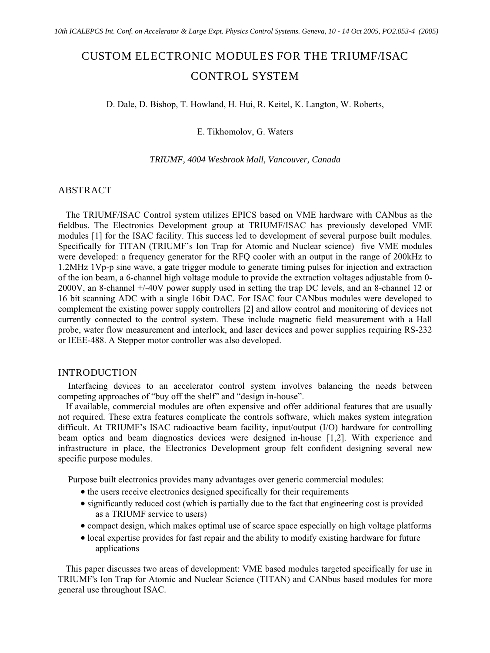# CUSTOM ELECTRONIC MODULES FOR THE TRIUMF/ISAC CONTROL SYSTEM

D. Dale, D. Bishop, T. Howland, H. Hui, R. Keitel, K. Langton, W. Roberts,

## E. Tikhomolov, G. Waters

#### *TRIUMF, 4004 Wesbrook Mall, Vancouver, Canada*

# ABSTRACT

The TRIUMF/ISAC Control system utilizes EPICS based on VME hardware with CANbus as the fieldbus. The Electronics Development group at TRIUMF/ISAC has previously developed VME modules [1] for the ISAC facility. This success led to development of several purpose built modules. Specifically for TITAN (TRIUMF's Ion Trap for Atomic and Nuclear science) five VME modules were developed: a frequency generator for the RFQ cooler with an output in the range of 200kHz to 1.2MHz 1Vp-p sine wave, a gate trigger module to generate timing pulses for injection and extraction of the ion beam, a 6-channel high voltage module to provide the extraction voltages adjustable from 0- 2000V, an 8-channel +/-40V power supply used in setting the trap DC levels, and an 8-channel 12 or 16 bit scanning ADC with a single 16bit DAC. For ISAC four CANbus modules were developed to complement the existing power supply controllers [2] and allow control and monitoring of devices not currently connected to the control system. These include magnetic field measurement with a Hall probe, water flow measurement and interlock, and laser devices and power supplies requiring RS-232 or IEEE-488. A Stepper motor controller was also developed.

### INTRODUCTION

 Interfacing devices to an accelerator control system involves balancing the needs between competing approaches of "buy off the shelf" and "design in-house".

If available, commercial modules are often expensive and offer additional features that are usually not required. These extra features complicate the controls software, which makes system integration difficult. At TRIUMF's ISAC radioactive beam facility, input/output (I/O) hardware for controlling beam optics and beam diagnostics devices were designed in-house [1,2]. With experience and infrastructure in place, the Electronics Development group felt confident designing several new specific purpose modules.

Purpose built electronics provides many advantages over generic commercial modules:

- ' the users receive electronics designed specifically for their requirements
- ' significantly reduced cost (which is partially due to the fact that engineering cost is provided as a TRIUMF service to users)
- ' compact design, which makes optimal use of scarce space especially on high voltage platforms
- ' local expertise provides for fast repair and the ability to modify existing hardware for future applications

This paper discusses two areas of development: VME based modules targeted specifically for use in TRIUMF's Ion Trap for Atomic and Nuclear Science (TITAN) and CANbus based modules for more general use throughout ISAC.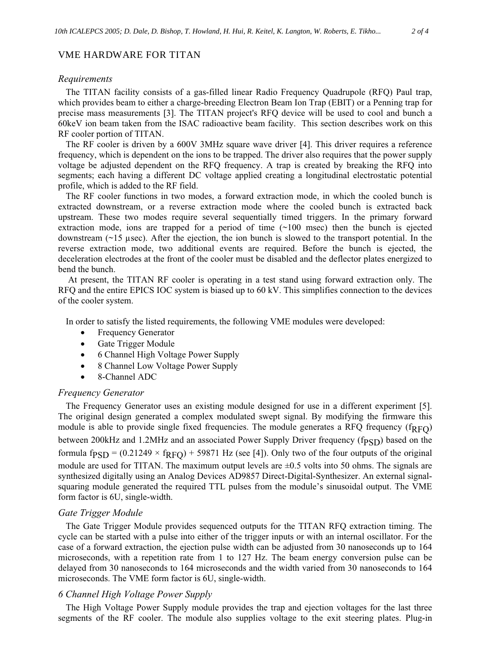#### VME HARDWARE FOR TITAN

#### *Requirements*

The TITAN facility consists of a gas-filled linear Radio Frequency Quadrupole (RFQ) Paul trap, which provides beam to either a charge-breeding Electron Beam Ion Trap (EBIT) or a Penning trap for precise mass measurements [3]. The TITAN project's RFQ device will be used to cool and bunch a 60keV ion beam taken from the ISAC radioactive beam facility. This section describes work on this RF cooler portion of TITAN.

The RF cooler is driven by a 600V 3MHz square wave driver [4]. This driver requires a reference frequency, which is dependent on the ions to be trapped. The driver also requires that the power supply voltage be adjusted dependent on the RFQ frequency. A trap is created by breaking the RFQ into segments; each having a different DC voltage applied creating a longitudinal electrostatic potential profile, which is added to the RF field.

The RF cooler functions in two modes, a forward extraction mode, in which the cooled bunch is extracted downstream, or a reverse extraction mode where the cooled bunch is extracted back upstream. These two modes require several sequentially timed triggers. In the primary forward extraction mode, ions are trapped for a period of time  $(\sim 100 \text{ msec})$  then the bunch is ejected downstream  $(\sim 15 \text{ µsec})$ . After the ejection, the ion bunch is slowed to the transport potential. In the reverse extraction mode, two additional events are required. Before the bunch is ejected, the deceleration electrodes at the front of the cooler must be disabled and the deflector plates energized to bend the bunch.

 At present, the TITAN RF cooler is operating in a test stand using forward extraction only. The RFQ and the entire EPICS IOC system is biased up to 60 kV. This simplifies connection to the devices of the cooler system.

In order to satisfy the listed requirements, the following VME modules were developed:

- Frequency Generator
- ' Gate Trigger Module
- ' 6 Channel High Voltage Power Supply
- 8 Channel Low Voltage Power Supply
- ' 8-Channel ADC

#### *Frequency Generator*

The Frequency Generator uses an existing module designed for use in a different experiment [5]. The original design generated a complex modulated swept signal. By modifying the firmware this module is able to provide single fixed frequencies. The module generates a RFQ frequency ( $f_{RFO}$ ) between 200kHz and 1.2MHz and an associated Power Supply Driver frequency  $(f_{\text{PSD}})$  based on the formula fp<sub>SD</sub> = (0.21249  $\times$  f<sub>RFQ</sub>) + 59871 Hz (see [4]). Only two of the four outputs of the original module are used for TITAN. The maximum output levels are  $\pm 0.5$  volts into 50 ohms. The signals are synthesized digitally using an Analog Devices AD9857 Direct-Digital-Synthesizer. An external signalsquaring module generated the required TTL pulses from the module's sinusoidal output. The VME form factor is 6U, single-width.

#### *Gate Trigger Module*

The Gate Trigger Module provides sequenced outputs for the TITAN RFQ extraction timing. The cycle can be started with a pulse into either of the trigger inputs or with an internal oscillator. For the case of a forward extraction, the ejection pulse width can be adjusted from 30 nanoseconds up to 164 microseconds, with a repetition rate from 1 to 127 Hz. The beam energy conversion pulse can be delayed from 30 nanoseconds to 164 microseconds and the width varied from 30 nanoseconds to 164 microseconds. The VME form factor is 6U, single-width.

#### *6 Channel High Voltage Power Supply*

The High Voltage Power Supply module provides the trap and ejection voltages for the last three segments of the RF cooler. The module also supplies voltage to the exit steering plates. Plug-in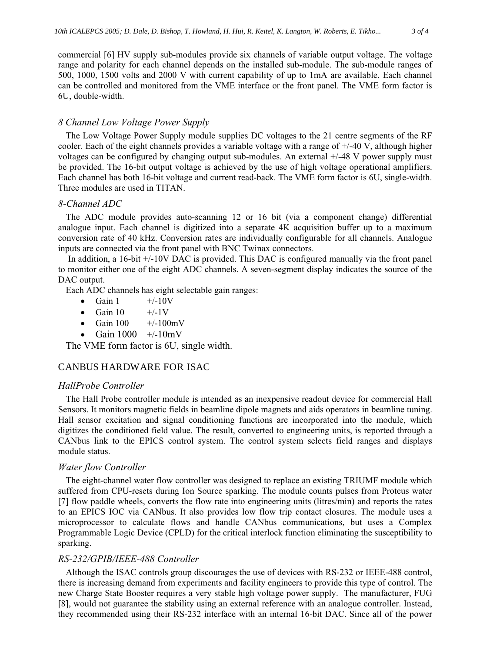commercial [6] HV supply sub-modules provide six channels of variable output voltage. The voltage range and polarity for each channel depends on the installed sub-module. The sub-module ranges of 500, 1000, 1500 volts and 2000 V with current capability of up to 1mA are available. Each channel can be controlled and monitored from the VME interface or the front panel. The VME form factor is 6U, double-width.

# *8 Channel Low Voltage Power Supply*

The Low Voltage Power Supply module supplies DC voltages to the 21 centre segments of the RF cooler. Each of the eight channels provides a variable voltage with a range of +/-40 V, although higher voltages can be configured by changing output sub-modules. An external  $+/48$  V power supply must be provided. The 16-bit output voltage is achieved by the use of high voltage operational amplifiers. Each channel has both 16-bit voltage and current read-back. The VME form factor is 6U, single-width. Three modules are used in TITAN.

# *8-Channel ADC*

The ADC module provides auto-scanning 12 or 16 bit (via a component change) differential analogue input. Each channel is digitized into a separate 4K acquisition buffer up to a maximum conversion rate of 40 kHz. Conversion rates are individually configurable for all channels. Analogue inputs are connected via the front panel with BNC Twinax connectors.

 In addition, a 16-bit +/-10V DAC is provided. This DAC is configured manually via the front panel to monitor either one of the eight ADC channels. A seven-segment display indicates the source of the DAC output.

Each ADC channels has eight selectable gain ranges:

- $\bullet$  Gain 1  $+/$ -10V
- $\bullet$  Gain 10  $\quad$  +/-1V
- Gain  $100 +/-100$ mV
- Gain  $1000 +/-10$ mV

The VME form factor is 6U, single width.

# CANBUS HARDWARE FOR ISAC

# *HallProbe Controller*

The Hall Probe controller module is intended as an inexpensive readout device for commercial Hall Sensors. It monitors magnetic fields in beamline dipole magnets and aids operators in beamline tuning. Hall sensor excitation and signal conditioning functions are incorporated into the module, which digitizes the conditioned field value. The result, converted to engineering units, is reported through a CANbus link to the EPICS control system. The control system selects field ranges and displays module status.

#### *Water flow Controller*

The eight-channel water flow controller was designed to replace an existing TRIUMF module which suffered from CPU-resets during Ion Source sparking. The module counts pulses from Proteus water [7] flow paddle wheels, converts the flow rate into engineering units (litres/min) and reports the rates to an EPICS IOC via CANbus. It also provides low flow trip contact closures. The module uses a microprocessor to calculate flows and handle CANbus communications, but uses a Complex Programmable Logic Device (CPLD) for the critical interlock function eliminating the susceptibility to sparking.

#### *RS-232/GPIB/IEEE-488 Controller*

Although the ISAC controls group discourages the use of devices with RS-232 or IEEE-488 control, there is increasing demand from experiments and facility engineers to provide this type of control. The new Charge State Booster requires a very stable high voltage power supply. The manufacturer, FUG [8], would not guarantee the stability using an external reference with an analogue controller. Instead, they recommended using their RS-232 interface with an internal 16-bit DAC. Since all of the power